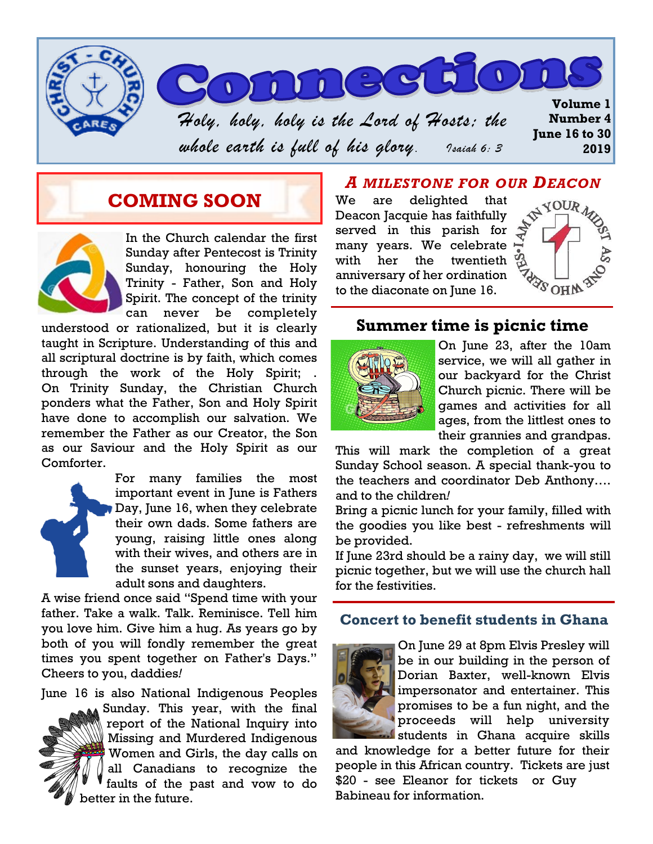

## **COMING SOON**



In the Church calendar the first Sunday after Pentecost is Trinity Sunday, honouring the Holy Trinity - Father, Son and Holy Spirit. The concept of the trinity can never be completely

understood or rationalized, but it is clearly taught in Scripture. Understanding of this and all scriptural doctrine is by faith, which comes through the work of the Holy Spirit; . On Trinity Sunday, the Christian Church ponders what the Father, Son and Holy Spirit have done to accomplish our salvation. We remember the Father as our Creator, the Son as our Saviour and the Holy Spirit as our Comforter.



For many families the most important event in June is Fathers Day, June 16, when they celebrate their own dads. Some fathers are young, raising little ones along with their wives, and others are in the sunset years, enjoying their adult sons and daughters.

A wise friend once said "Spend time with your father. Take a walk. Talk. Reminisce. Tell him you love him. Give him a hug. As years go by both of you will fondly remember the great times you spent together on Father's Days." Cheers to you, daddies*!*

June 16 is also National Indigenous Peoples



Sunday. This year, with the final report of the National Inquiry into Missing and Murdered Indigenous Women and Girls, the day calls on all Canadians to recognize the faults of the past and vow to do better in the future.

### *A MILESTONE FOR OUR DEACON*

We are delighted that Deacon Jacquie has faithfully served in this parish for many years. We celebrate with her the twentieth anniversary of her ordination to the diaconate on June 16.



## **Summer time is picnic time**



On June 23, after the 10am service, we will all gather in our backyard for the Christ Church picnic. There will be games and activities for all ages, from the littlest ones to their grannies and grandpas.

This will mark the completion of a great Sunday School season. A special thank-you to the teachers and coordinator Deb Anthony…. and to the children*!*

Bring a picnic lunch for your family, filled with the goodies you like best - refreshments will be provided.

If June 23rd should be a rainy day, we will still picnic together, but we will use the church hall for the festivities.

#### **Concert to benefit students in Ghana**



On June 29 at 8pm Elvis Presley will be in our building in the person of Dorian Baxter, well-known Elvis impersonator and entertainer. This promises to be a fun night, and the proceeds will help university students in Ghana acquire skills

and knowledge for a better future for their people in this African country. Tickets are just \$20 - see Eleanor for tickets or Guy Babineau for information.